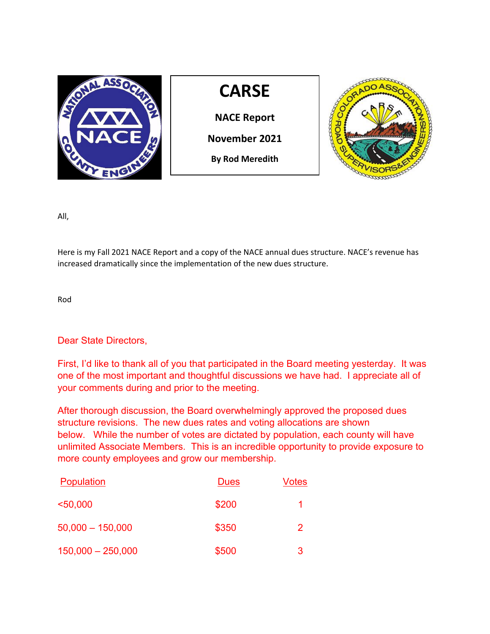

All,

Here is my Fall 2021 NACE Report and a copy of the NACE annual dues structure. NACE's revenue has increased dramatically since the implementation of the new dues structure.

Rod

Dear State Directors,

First, I'd like to thank all of you that participated in the Board meeting yesterday. It was one of the most important and thoughtful discussions we have had. I appreciate all of your comments during and prior to the meeting.

After thorough discussion, the Board overwhelmingly approved the proposed dues structure revisions. The new dues rates and voting allocations are shown below. While the number of votes are dictated by population, each county will have unlimited Associate Members. This is an incredible opportunity to provide exposure to more county employees and grow our membership.

| <b>Population</b>   | <b>Dues</b> | Votes |
|---------------------|-------------|-------|
| $50,000$            | \$200       |       |
| $50,000 - 150,000$  | \$350       | 2     |
| $150,000 - 250,000$ | \$500       | 3     |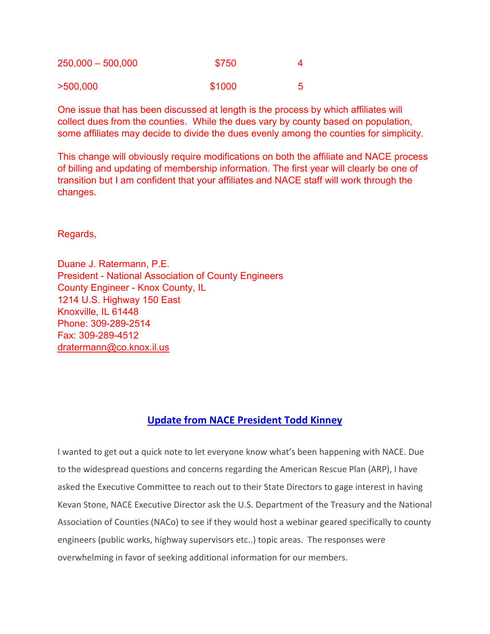| $250,000 - 500,000$ | \$750  |  |
|---------------------|--------|--|
| >500,000            | \$1000 |  |

One issue that has been discussed at length is the process by which affiliates will collect dues from the counties. While the dues vary by county based on population, some affiliates may decide to divide the dues evenly among the counties for simplicity.

This change will obviously require modifications on both the affiliate and NACE process of billing and updating of membership information. The first year will clearly be one of transition but I am confident that your affiliates and NACE staff will work through the changes.

Regards,

Duane J. Ratermann, P.E. President - National Association of County Engineers County Engineer - Knox County, IL 1214 U.S. Highway 150 East Knoxville, IL 61448 Phone: 309-289-2514 Fax: 309-289-4512 [dratermann@co.knox.il.us](mailto:dratermann@co.knox.il.us)

# **Update from NACE President Todd Kinney**

I wanted to get out a quick note to let everyone know what's been happening with NACE. Due to the widespread questions and concerns regarding the American Rescue Plan (ARP), I have asked the Executive Committee to reach out to their State Directors to gage interest in having Kevan Stone, NACE Executive Director ask the U.S. Department of the Treasury and the National Association of Counties (NACo) to see if they would host a webinar geared specifically to county engineers (public works, highway supervisors etc..) topic areas. The responses were overwhelming in favor of seeking additional information for our members.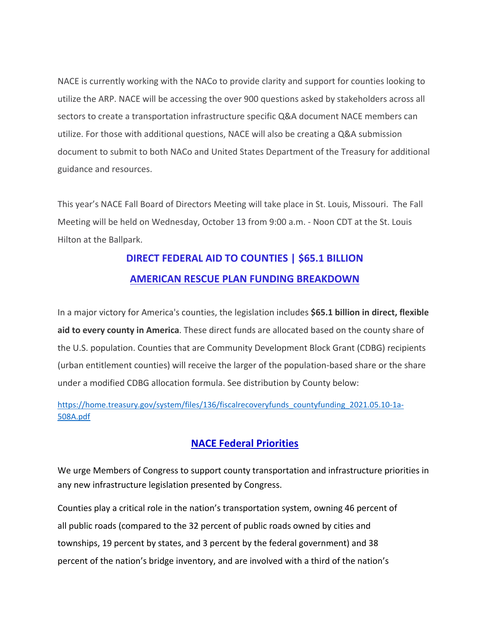NACE is currently working with the NACo to provide clarity and support for counties looking to utilize the ARP. NACE will be accessing the over 900 questions asked by stakeholders across all sectors to create a transportation infrastructure specific Q&A document NACE members can utilize. For those with additional questions, NACE will also be creating a Q&A submission document to submit to both NACo and United States Department of the Treasury for additional guidance and resources.

This year's NACE Fall Board of Directors Meeting will take place in St. Louis, Missouri. The Fall Meeting will be held on Wednesday, October 13 from 9:00 a.m. - Noon CDT at the St. Louis Hilton at the Ballpark.

# **DIRECT FEDERAL AID TO COUNTIES | \$65.1 BILLION AMERICAN RESCUE PLAN FUNDING BREAKDOWN**

In a major victory for America's counties, the legislation includes **\$65.1 billion in direct, flexible aid to every county in America**. These direct funds are allocated based on the county share of the U.S. population. Counties that are Community Development Block Grant (CDBG) recipients (urban entitlement counties) will receive the larger of the population-based share or the share under a modified CDBG allocation formula. See distribution by County below:

[https://home.treasury.gov/system/files/136/fiscalrecoveryfunds\\_countyfunding\\_2021.05.10-1a-](https://home.treasury.gov/system/files/136/fiscalrecoveryfunds_countyfunding_2021.05.10-1a-508A.pdf)[508A.pdf](https://home.treasury.gov/system/files/136/fiscalrecoveryfunds_countyfunding_2021.05.10-1a-508A.pdf)

# **NACE Federal Priorities**

We urge Members of Congress to support county transportation and infrastructure priorities in any new infrastructure legislation presented by Congress.

Counties play a critical role in the nation's transportation system, owning 46 percent of all public roads (compared to the 32 percent of public roads owned by cities and townships, 19 percent by states, and 3 percent by the federal government) and 38 percent of the nation's bridge inventory, and are involved with a third of the nation's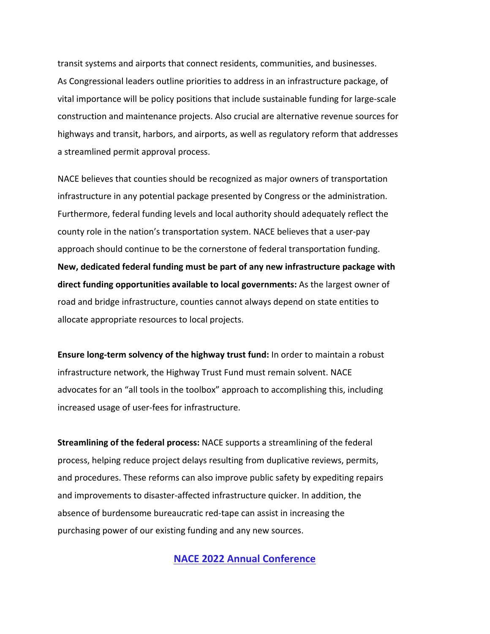transit systems and airports that connect residents, communities, and businesses. As Congressional leaders outline priorities to address in an infrastructure package, of vital importance will be policy positions that include sustainable funding for large-scale construction and maintenance projects. Also crucial are alternative revenue sources for highways and transit, harbors, and airports, as well as regulatory reform that addresses a streamlined permit approval process.

NACE believes that counties should be recognized as major owners of transportation infrastructure in any potential package presented by Congress or the administration. Furthermore, federal funding levels and local authority should adequately reflect the county role in the nation's transportation system. NACE believes that a user-pay approach should continue to be the cornerstone of federal transportation funding. **New, dedicated federal funding must be part of any new infrastructure package with direct funding opportunities available to local governments:** As the largest owner of road and bridge infrastructure, counties cannot always depend on state entities to allocate appropriate resources to local projects.

**Ensure long‐term solvency of the highway trust fund:** In order to maintain a robust infrastructure network, the Highway Trust Fund must remain solvent. NACE advocates for an "all tools in the toolbox" approach to accomplishing this, including increased usage of user-fees for infrastructure.

**Streamlining of the federal process:** NACE supports a streamlining of the federal process, helping reduce project delays resulting from duplicative reviews, permits, and procedures. These reforms can also improve public safety by expediting repairs and improvements to disaster-affected infrastructure quicker. In addition, the absence of burdensome bureaucratic red-tape can assist in increasing the purchasing power of our existing funding and any new sources.

**NACE 2022 Annual Conference**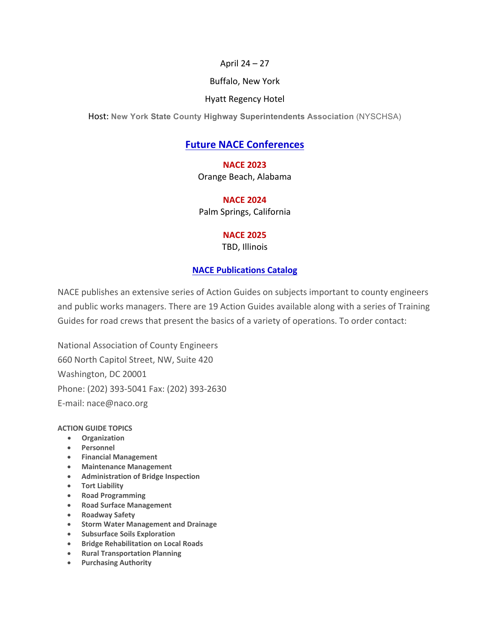#### April 24 – 27

#### Buffalo, New York

#### Hyatt Regency Hotel

Host: **New York State County Highway Superintendents Association** (NYSCHSA)

# **Future NACE Conferences**

## **NACE 2023**

Orange Beach, Alabama

## **NACE 2024**

Palm Springs, California

## **NACE 2025**

TBD, Illinois

## **NACE Publications Catalog**

NACE publishes an extensive series of Action Guides on subjects important to county engineers and public works managers. There are 19 Action Guides available along with a series of Training Guides for road crews that present the basics of a variety of operations. To order contact:

National Association of County Engineers 660 North Capitol Street, NW, Suite 420 Washington, DC 20001 Phone: (202) 393-5041 Fax: (202) 393-2630 E-mail: nace@naco.org

#### **ACTION GUIDE TOPICS**

- **Organization**
- **Personnel**
- **Financial Management**
- **Maintenance Management**
- **Administration of Bridge Inspection**
- **Tort Liability**
- **Road Programming**
- **Road Surface Management**
- **Roadway Safety**
- **Storm Water Management and Drainage**
- **Subsurface Soils Exploration**
- **Bridge Rehabilitation on Local Roads**
- **Rural Transportation Planning**
- **Purchasing Authority**